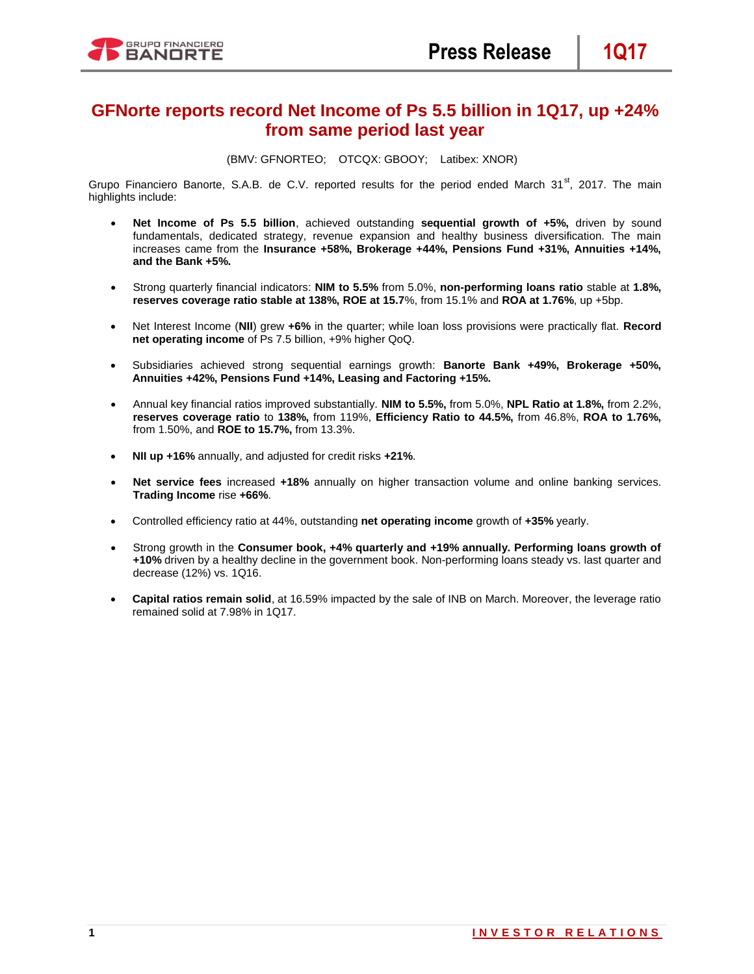# **GFNorte reports record Net Income of Ps 5.5 billion in 1Q17, up +24% from same period last year**

(BMV: GFNORTEO; OTCQX: GBOOY; Latibex: XNOR)

Grupo Financiero Banorte, S.A.B. de C.V. reported results for the period ended March 31<sup>st</sup>, 2017. The main highlights include:

- **Net Income of Ps 5.5 billion**, achieved outstanding **sequential growth of +5%,** driven by sound fundamentals, dedicated strategy, revenue expansion and healthy business diversification. The main increases came from the **Insurance +58%, Brokerage +44%, Pensions Fund +31%, Annuities +14%, and the Bank +5%.**
- Strong quarterly financial indicators: **NIM to 5.5%** from 5.0%, **non-performing loans ratio** stable at **1.8%, reserves coverage ratio stable at 138%, ROE at 15.7**%, from 15.1% and **ROA at 1.76%**, up +5bp.
- Net Interest Income (**NII**) grew **+6%** in the quarter; while loan loss provisions were practically flat. **Record net operating income** of Ps 7.5 billion, +9% higher QoQ.
- Subsidiaries achieved strong sequential earnings growth: **Banorte Bank +49%, Brokerage +50%, Annuities +42%, Pensions Fund +14%, Leasing and Factoring +15%.**
- Annual key financial ratios improved substantially. **NIM to 5.5%,** from 5.0%, **NPL Ratio at 1.8%,** from 2.2%, **reserves coverage ratio** to **138%,** from 119%, **Efficiency Ratio to 44.5%,** from 46.8%, **ROA to 1.76%,** from 1.50%, and **ROE to 15.7%,** from 13.3%.
- **NII up +16%** annually, and adjusted for credit risks **+21%**.
- **Net service fees** increased **+18%** annually on higher transaction volume and online banking services. **Trading Income** rise **+66%**.
- Controlled efficiency ratio at 44%, outstanding **net operating income** growth of **+35%** yearly.
- Strong growth in the **Consumer book, +4% quarterly and +19% annually. Performing loans growth of +10%** driven by a healthy decline in the government book. Non-performing loans steady vs. last quarter and decrease (12%) vs. 1Q16.
- **Capital ratios remain solid**, at 16.59% impacted by the sale of INB on March. Moreover, the leverage ratio remained solid at 7.98% in 1Q17.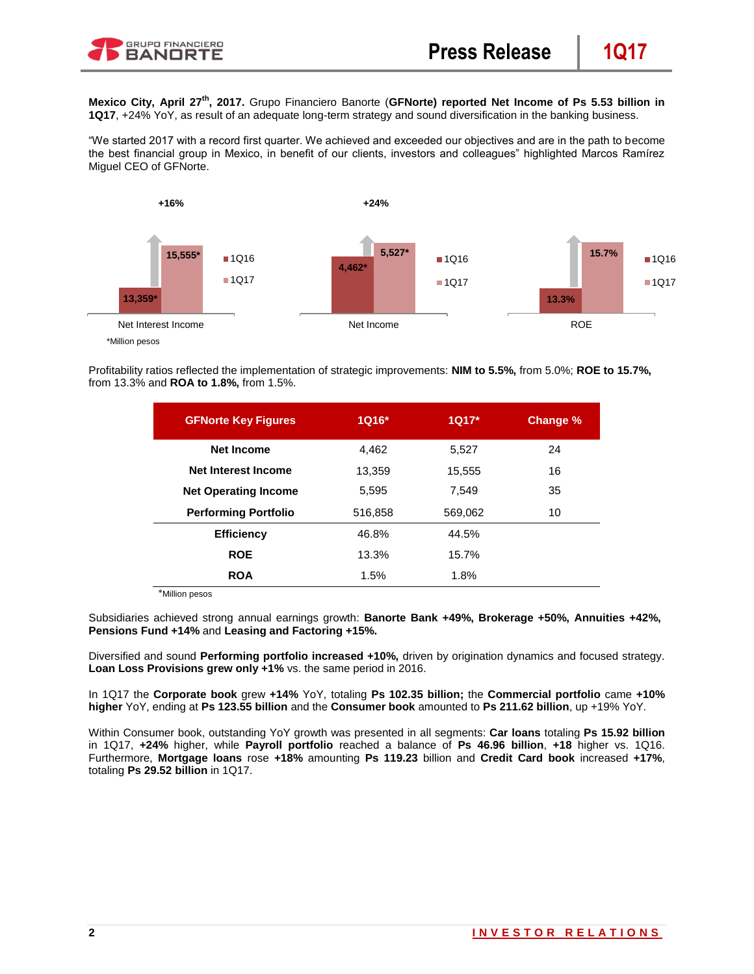

**Mexico City, April 27th, 2017.** Grupo Financiero Banorte (**GFNorte) reported Net Income of Ps 5.53 billion in 1Q17**, +24% YoY, as result of an adequate long-term strategy and sound diversification in the banking business.

"We started 2017 with a record first quarter. We achieved and exceeded our objectives and are in the path to become the best financial group in Mexico, in benefit of our clients, investors and colleagues" highlighted Marcos Ramírez Miguel CEO of GFNorte.



Profitability ratios reflected the implementation of strategic improvements: **NIM to 5.5%,** from 5.0%; **ROE to 15.7%,**  from 13.3% and **ROA to 1.8%,** from 1.5%.

| <b>GFNorte Key Figures</b>  | $1016*$ | $1Q17*$ | Change % |
|-----------------------------|---------|---------|----------|
| <b>Net Income</b>           | 4.462   | 5,527   | 24       |
| Net Interest Income         | 13.359  | 15,555  | 16       |
| <b>Net Operating Income</b> | 5.595   | 7.549   | 35       |
| <b>Performing Portfolio</b> | 516,858 | 569,062 | 10       |
| <b>Efficiency</b>           | 46.8%   | 44.5%   |          |
| <b>ROE</b>                  | 13.3%   | 15.7%   |          |
| <b>ROA</b>                  | 1.5%    | 1.8%    |          |

\*Million pesos

Subsidiaries achieved strong annual earnings growth: **Banorte Bank +49%, Brokerage +50%, Annuities +42%, Pensions Fund +14%** and **Leasing and Factoring +15%.**

Diversified and sound **Performing portfolio increased +10%,** driven by origination dynamics and focused strategy. **Loan Loss Provisions grew only +1%** vs. the same period in 2016.

In 1Q17 the **Corporate book** grew **+14%** YoY, totaling **Ps 102.35 billion;** the **Commercial portfolio** came **+10% higher** YoY, ending at **Ps 123.55 billion** and the **Consumer book** amounted to **Ps 211.62 billion**, up +19% YoY.

Within Consumer book, outstanding YoY growth was presented in all segments: **Car loans** totaling **Ps 15.92 billion** in 1Q17, **+24%** higher, while **Payroll portfolio** reached a balance of **Ps 46.96 billion**, **+18** higher vs. 1Q16. Furthermore, **Mortgage loans** rose **+18%** amounting **Ps 119.23** billion and **Credit Card book** increased **+17%**, totaling **Ps 29.52 billion** in 1Q17.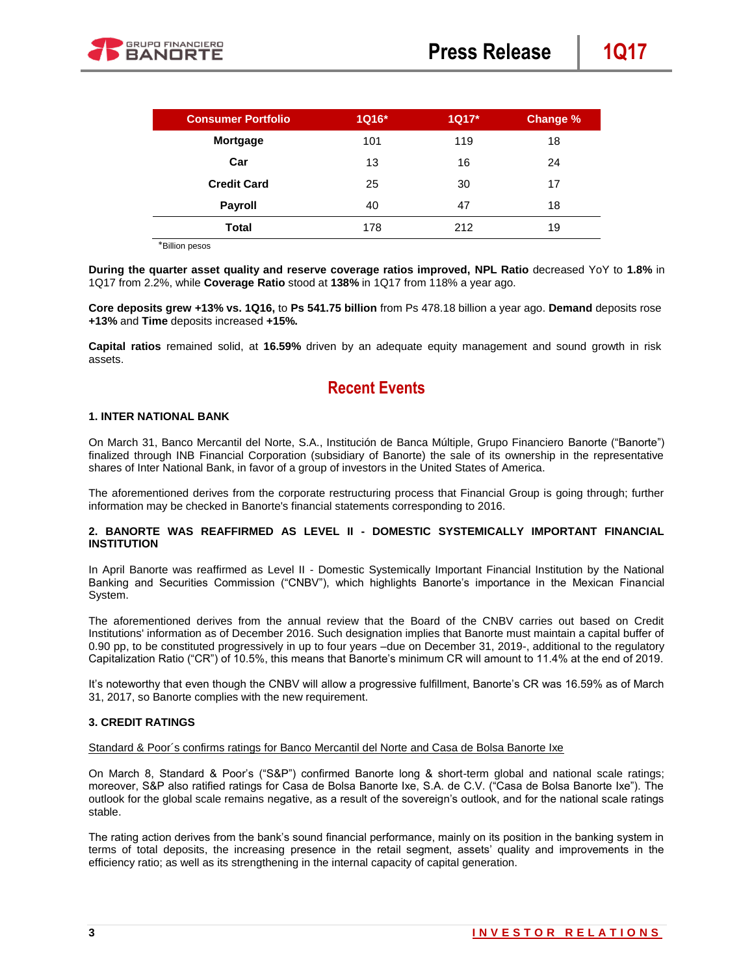

| <b>Consumer Portfolio</b> | 1Q16* | $1Q17*$ | Change % |
|---------------------------|-------|---------|----------|
| <b>Mortgage</b>           | 101   | 119     | 18       |
| Car                       | 13    | 16      | 24       |
| <b>Credit Card</b>        | 25    | 30      | 17       |
| <b>Payroll</b>            | 40    | 47      | 18       |
| <b>Total</b>              | 178   | 212     | 19       |

\*Billion pesos

**During the quarter asset quality and reserve coverage ratios improved, NPL Ratio** decreased YoY to **1.8%** in 1Q17 from 2.2%, while **Coverage Ratio** stood at **138%** in 1Q17 from 118% a year ago.

**Core deposits grew +13% vs. 1Q16,** to **Ps 541.75 billion** from Ps 478.18 billion a year ago. **Demand** deposits rose **+13%** and **Time** deposits increased **+15%.**

**Capital ratios** remained solid, at **16.59%** driven by an adequate equity management and sound growth in risk assets.

# **Recent Events**

## **1. INTER NATIONAL BANK**

On March 31, Banco Mercantil del Norte, S.A., Institución de Banca Múltiple, Grupo Financiero Banorte ("Banorte") finalized through INB Financial Corporation (subsidiary of Banorte) the sale of its ownership in the representative shares of Inter National Bank, in favor of a group of investors in the United States of America.

The aforementioned derives from the corporate restructuring process that Financial Group is going through; further information may be checked in Banorte's financial statements corresponding to 2016.

### **2. BANORTE WAS REAFFIRMED AS LEVEL II - DOMESTIC SYSTEMICALLY IMPORTANT FINANCIAL INSTITUTION**

In April Banorte was reaffirmed as Level II - Domestic Systemically Important Financial Institution by the National Banking and Securities Commission ("CNBV"), which highlights Banorte's importance in the Mexican Financial System.

The aforementioned derives from the annual review that the Board of the CNBV carries out based on Credit Institutions' information as of December 2016. Such designation implies that Banorte must maintain a capital buffer of 0.90 pp, to be constituted progressively in up to four years –due on December 31, 2019-, additional to the regulatory Capitalization Ratio ("CR") of 10.5%, this means that Banorte's minimum CR will amount to 11.4% at the end of 2019.

It's noteworthy that even though the CNBV will allow a progressive fulfillment, Banorte's CR was 16.59% as of March 31, 2017, so Banorte complies with the new requirement.

## **3. CREDIT RATINGS**

## Standard & Poor´s confirms ratings for Banco Mercantil del Norte and Casa de Bolsa Banorte Ixe

On March 8, Standard & Poor's ("S&P") confirmed Banorte long & short-term global and national scale ratings; moreover, S&P also ratified ratings for Casa de Bolsa Banorte Ixe, S.A. de C.V. ("Casa de Bolsa Banorte Ixe"). The outlook for the global scale remains negative, as a result of the sovereign's outlook, and for the national scale ratings stable.

The rating action derives from the bank's sound financial performance, mainly on its position in the banking system in terms of total deposits, the increasing presence in the retail segment, assets' quality and improvements in the efficiency ratio; as well as its strengthening in the internal capacity of capital generation.